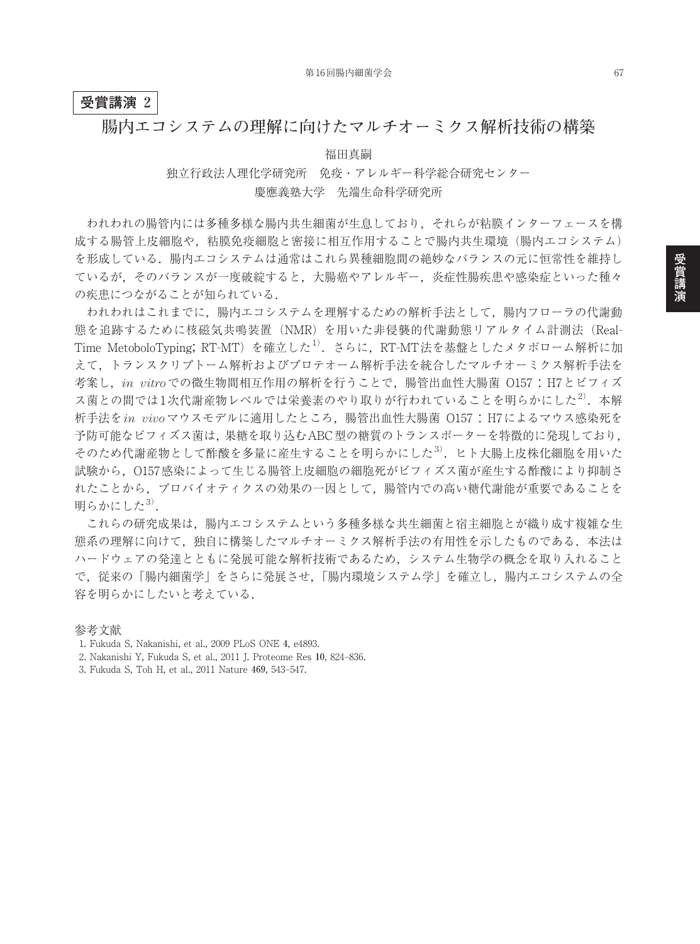## **受賞講演 2**

## **腸内エコシステムの理解に向けたマルチオーミクス解析技術の構築**

福田真嗣

独立行政法人理化学研究所 免疫・アレルギー科学総合研究センター 慶應義塾大学 先端生命科学研究所

われわれの腸管内には多種多様な腸内共生細菌が生息しており,それらが粘膜インターフェースを構 成する腸管上皮細胞や,粘膜免疫細胞と密接に相互作用することで腸内共生環境(腸内エコシステム) を形成している.腸内エコシステムは通常はこれら異種細胞間の絶妙なバランスの元に恒常性を維持し ているが,そのバランスが一度破綻すると,大腸癌やアレルギー,炎症性腸疾患や感染症といった種々 の疾患につながることが知られている.

われわれはこれまでに,腸内エコシステムを理解するための解析手法として,腸内フローラの代謝動 態を追跡するために核磁気共鳴装置(NMR)を用いた非侵襲的代謝動態リアルタイム計測法(Real-Time MetoboloTyping; RT-MT)を確立した<sup>1)</sup>. さらに, RT-MT法を基盤としたメタボローム解析に加 えて,トランスクリプトーム解析およびプロテオーム解析手法を統合したマルチオーミクス解析手法を 考案し,*in vitro*での微生物間相互作用の解析を行うことで,腸管出血性大腸菌 O157:H7とビフィズ ス菌との間では1次代謝産物レベルでは栄養素のやり取りが行われていることを明らかにした<sup>2)</sup>. 本解 析手法を*in vivo*マウスモデルに適用したところ,腸管出血性大腸菌 O157:H7によるマウス感染死を 予防可能なビフィズス菌は,果糖を取り込むABC型の糖質のトランスポーターを特徴的に発現しており, そのため代謝産物として酢酸を多量に産生することを明らかにした<sup>3)</sup>. ヒト大腸上皮株化細胞を用いた 試験から,O157感染によって生じる腸管上皮細胞の細胞死がビフィズス菌が産生する酢酸により抑制さ れたことから,プロバイオティクスの効果の一因として,腸管内での高い糖代謝能が重要であることを 明らかにした<sup>3)</sup>.

これらの研究成果は,腸内エコシステムという多種多様な共生細菌と宿主細胞とが織り成す複雑な生 態系の理解に向けて,独自に構築したマルチオーミクス解析手法の有用性を示したものである.本法は ハードウェアの発達とともに発展可能な解析技術であるため,システム生物学の概念を取り入れること で、従来の「腸内細菌学」をさらに発展させ、「腸内環境システム学」を確立し、腸内エコシステムの全 容を明らかにしたいと考えている.

参考文献

- 1. Fukuda S, Nakanishi, et al., 2009 PLoS ONE **4**, e4893.
- 2. Nakanishi Y, Fukuda S, et al., 2011 J. Proteome Res **10**, 824–836.
- 3. Fukuda S, Toh H, et al., 2011 Nature **469**, 543–547.